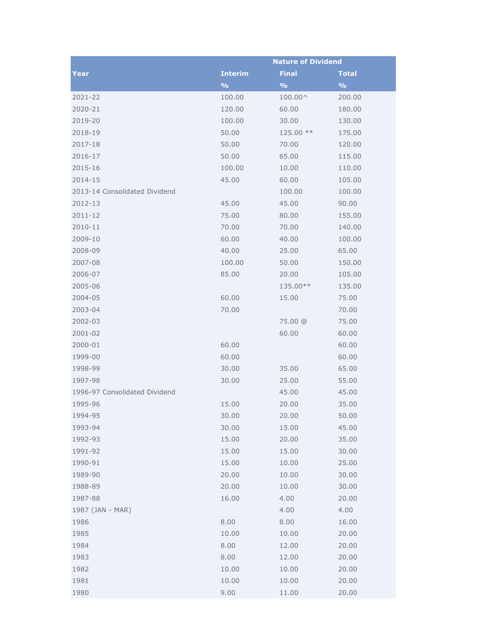|                               | <b>Nature of Dividend</b> |               |               |
|-------------------------------|---------------------------|---------------|---------------|
| Year                          | <b>Interim</b>            | <b>Final</b>  | <b>Total</b>  |
|                               | $\frac{9}{0}$             | $\frac{9}{6}$ | $\frac{9}{6}$ |
| 2021-22                       | 100.00                    | 100.00^       | 200.00        |
| 2020-21                       | 120.00                    | 60.00         | 180.00        |
| 2019-20                       | 100.00                    | 30.00         | 130.00        |
| 2018-19                       | 50.00                     | 125.00 **     | 175.00        |
| 2017-18                       | 50.00                     | 70.00         | 120.00        |
| 2016-17                       | 50.00                     | 65.00         | 115.00        |
| 2015-16                       | 100.00                    | 10.00         | 110.00        |
| 2014-15                       | 45.00                     | 60.00         | 105.00        |
| 2013-14 Consolidated Dividend |                           | 100.00        | 100.00        |
| 2012-13                       | 45.00                     | 45.00         | 90.00         |
| 2011-12                       | 75.00                     | 80.00         | 155.00        |
| 2010-11                       | 70.00                     | 70.00         | 140.00        |
| 2009-10                       | 60.00                     | 40.00         | 100.00        |
| 2008-09                       | 40.00                     | 25.00         | 65.00         |
| 2007-08                       | 100.00                    | 50.00         | 150.00        |
| 2006-07                       | 85.00                     | 20.00         | 105.00        |
| 2005-06                       |                           | 135.00**      | 135.00        |
| 2004-05                       | 60.00                     | 15.00         | 75.00         |
| 2003-04                       | 70.00                     |               | 70.00         |
| 2002-03                       |                           | 75.00 @       | 75.00         |
| 2001-02                       |                           | 60.00         | 60.00         |
| 2000-01                       | 60.00                     |               | 60.00         |
| 1999-00                       | 60.00                     |               | 60.00         |
| 1998-99                       | 30.00                     | 35.00         | 65.00         |
| 1997-98                       | 30.00                     | 25.00         | 55.00         |
| 1996-97 Consolidated Dividend |                           | 45.00         | 45.00         |
| 1995-96                       | 15.00                     | 20.00         | 35.00         |
| 1994-95                       | 30.00                     | 20.00         | 50.00         |
| 1993-94                       | 30.00                     | 15.00         | 45.00         |
| 1992-93                       | 15.00                     | 20.00         | 35.00         |
| 1991-92                       | 15.00                     | 15.00         | 30.00         |
| 1990-91                       | 15.00                     | 10.00         | 25.00         |
| 1989-90                       | 20.00                     | 10.00         | 30.00         |
| 1988-89                       | 20.00                     | 10.00         | 30.00         |
| 1987-88                       | 16.00                     | 4.00          | 20.00         |
| 1987 (JAN - MAR)              |                           | 4.00          | 4.00          |
| 1986                          | 8.00                      | 8.00          | 16.00         |
| 1985                          | 10.00                     | 10.00         | 20.00         |
| 1984                          | 8.00                      | 12.00         | 20.00         |
| 1983                          | 8.00                      | 12.00         | 20.00         |
| 1982                          | 10.00                     | 10.00         | 20.00         |
| 1981                          | 10.00                     | 10.00         | 20.00         |
| 1980                          | 9.00                      | 11.00         | 20.00         |